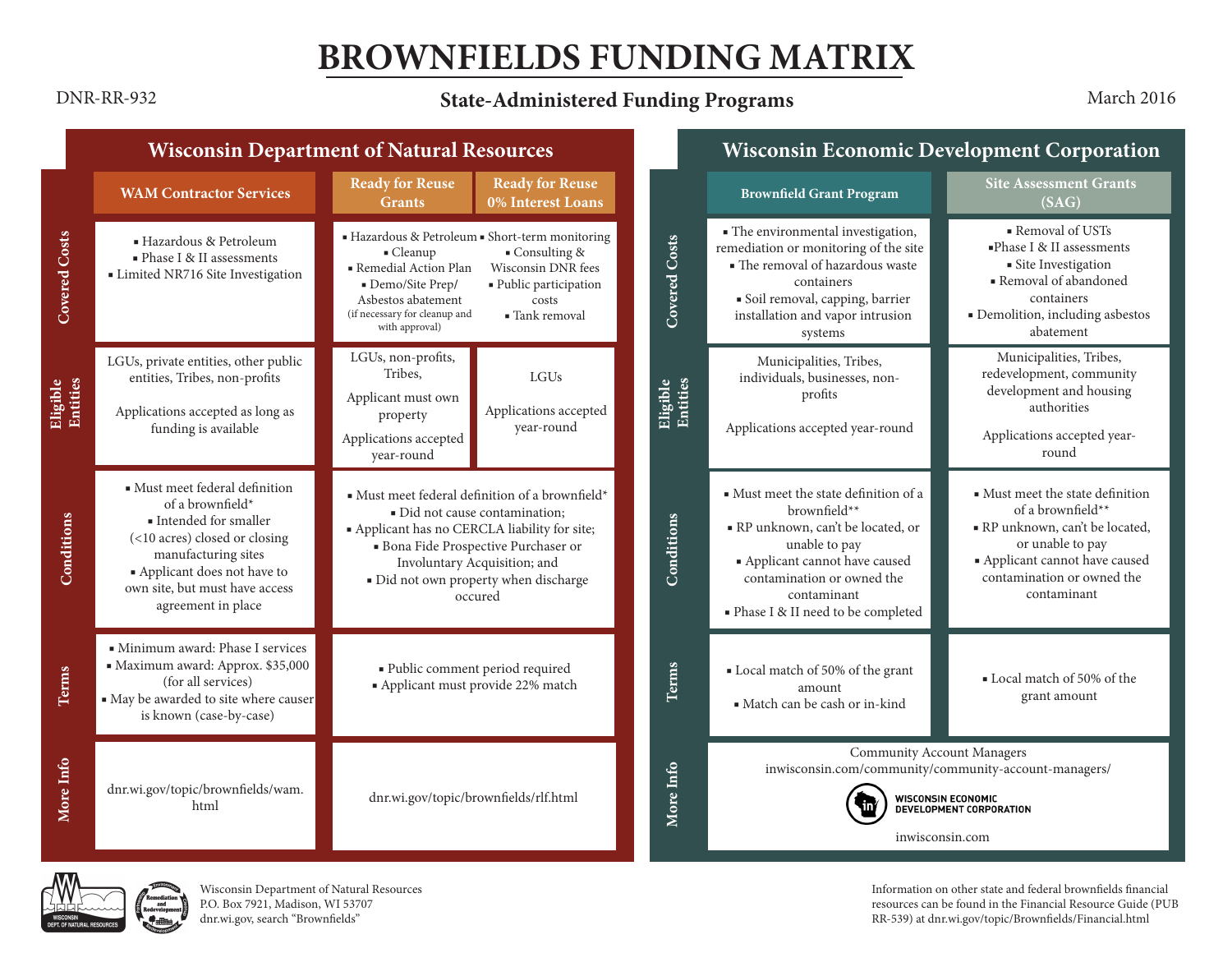# **BROWNFIELDS FUNDING MATRIX**

## **State-Administered Funding Programs** DNR-RR-932 March 2016

|                                                                                                                                                                                                                          |                                                                                                                                                                                                                                                                | <b>Wisconsin Department of Natural Resources</b>                                                       |                                               |                      |                                                                                                                                                                                                                                  | <b>Wisconsin Economic Development Corporation</b>                                                                                                                                       |  |  |
|--------------------------------------------------------------------------------------------------------------------------------------------------------------------------------------------------------------------------|----------------------------------------------------------------------------------------------------------------------------------------------------------------------------------------------------------------------------------------------------------------|--------------------------------------------------------------------------------------------------------|-----------------------------------------------|----------------------|----------------------------------------------------------------------------------------------------------------------------------------------------------------------------------------------------------------------------------|-----------------------------------------------------------------------------------------------------------------------------------------------------------------------------------------|--|--|
| <b>WAM Contractor Services</b>                                                                                                                                                                                           | <b>Ready for Reuse</b><br><b>Grants</b>                                                                                                                                                                                                                        | <b>Ready for Reuse</b><br>0% Interest Loans                                                            |                                               |                      | <b>Brownfield Grant Program</b>                                                                                                                                                                                                  | <b>Site Assessment Grants</b><br>(SAG)                                                                                                                                                  |  |  |
| ■ Hazardous & Petroleum<br>$\blacksquare$ Phase I & II assessments<br>• Limited NR716 Site Investigation                                                                                                                 | - Cleanup<br>Remedial Action Plan<br>Demo/Site Prep/<br>Asbestos abatement<br>(if necessary for cleanup and<br>with approval)                                                                                                                                  | $\blacksquare$ Consulting &<br>Wisconsin DNR fees<br>· Public participation<br>costs<br>■ Tank removal |                                               | <b>Covered Costs</b> | · The environmental investigation,<br>remediation or monitoring of the site<br>• The removal of hazardous waste<br>containers<br>· Soil removal, capping, barrier<br>installation and vapor intrusion<br>systems                 | Removal of USTs<br>$\blacksquare$ Phase I & II assessments<br>· Site Investigation<br>• Removal of abandoned<br>containers<br>· Demolition, including asbestos<br>abatement             |  |  |
| LGUs, private entities, other public<br>entities, Tribes, non-profits<br>Applications accepted as long as<br>funding is available                                                                                        | LGUs, non-profits,<br>Tribes.<br>Applicant must own<br>property<br>Applications accepted<br>year-round                                                                                                                                                         | LGUs<br>Applications accepted<br>year-round                                                            |                                               | Eligible<br>Entities | Municipalities, Tribes,<br>individuals, businesses, non-<br>profits<br>Applications accepted year-round                                                                                                                          | Municipalities, Tribes,<br>redevelopment, community<br>development and housing<br>authorities<br>Applications accepted year-<br>round                                                   |  |  |
| · Must meet federal definition<br>of a brownfield*<br>Intended for smaller<br>(<10 acres) closed or closing<br>manufacturing sites<br>Applicant does not have to<br>own site, but must have access<br>agreement in place | · Must meet federal definition of a brownfield*<br>· Did not cause contamination;<br>· Applicant has no CERCLA liability for site;<br>· Bona Fide Prospective Purchaser or<br>Involuntary Acquisition; and<br>· Did not own property when discharge<br>occured |                                                                                                        |                                               | Conditions           | • Must meet the state definition of a<br>brownfield**<br>RP unknown, can't be located, or<br>unable to pay<br>• Applicant cannot have caused<br>contamination or owned the<br>contaminant<br>· Phase I & II need to be completed | • Must meet the state definition<br>of a brownfield**<br>RP unknown, can't be located,<br>or unable to pay<br>Applicant cannot have caused<br>contamination or owned the<br>contaminant |  |  |
| • Minimum award: Phase I services<br>Maximum award: Approx. \$35,000<br>(for all services)<br>. May be awarded to site where causer<br>is known (case-by-case)                                                           | · Public comment period required<br>· Applicant must provide 22% match                                                                                                                                                                                         |                                                                                                        |                                               | Terms                | Local match of 50% of the grant<br>amount<br>· Match can be cash or in-kind                                                                                                                                                      | • Local match of 50% of the<br>grant amount                                                                                                                                             |  |  |
| dnr.wi.gov/topic/brownfields/wam.<br>html                                                                                                                                                                                | dnr.wi.gov/topic/brownfields/rlf.html                                                                                                                                                                                                                          |                                                                                                        |                                               | More Info            | <b>Community Account Managers</b><br>inwisconsin.com/community/community-account-managers/<br>WISCONSIN ECONOMIC<br>DEVELOPMENT CORPORATION<br>inwisconsin.com                                                                   |                                                                                                                                                                                         |  |  |
|                                                                                                                                                                                                                          |                                                                                                                                                                                                                                                                |                                                                                                        | Hazardous & Petroleum • Short-term monitoring |                      |                                                                                                                                                                                                                                  |                                                                                                                                                                                         |  |  |



Wisconsin Department of Natural Resources P.O. Box 7921, Madison, WI 53707 [dnr.wi.gov,](http://dnr.wi.gov) search "Brownfields"

Information on other state and federal brownfields financial resources can be found in the Financial Resource Guide (PUB RR-539) at [dnr.wi.gov/topic/Brownfields/Financial.html](http://dnr.wi.gov/topic/Brownfields/Financial.html)